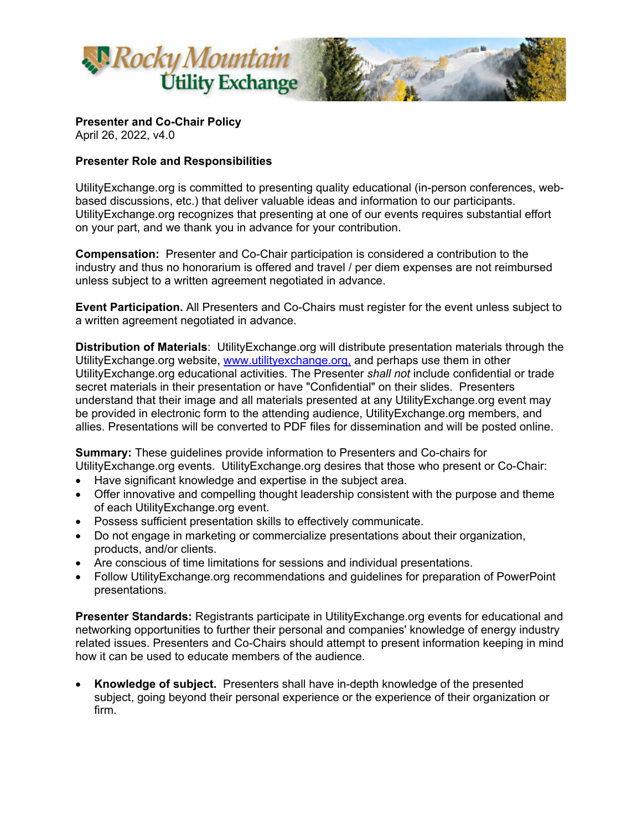

**Presenter and Co-Chair Policy** 

April 26, 2022, v4.0

## **Presenter Role and Responsibilities**

UtilityExchange.org is committed to presenting quality educational (in-person conferences, webbased discussions, etc.) that deliver valuable ideas and information to our participants. UtilityExchange.org recognizes that presenting at one of our events requires substantial effort on your part, and we thank you in advance for your contribution.

**Compensation:** Presenter and Co-Chair participation is considered a contribution to the industry and thus no honorarium is offered and travel / per diem expenses are not reimbursed unless subject to a written agreement negotiated in advance.

**Event Participation.** All Presenters and Co-Chairs must register for the event unless subject to a written agreement negotiated in advance.

**Distribution of Materials**: UtilityExchange.org will distribute presentation materials through the UtilityExchange.org website, www.utilityexchange.org, and perhaps use them in other UtilityExchange.org educational activities. The Presenter *shall not* include confidential or trade secret materials in their presentation or have "Confidential" on their slides. Presenters understand that their image and all materials presented at any UtilityExchange.org event may be provided in electronic form to the attending audience, UtilityExchange.org members, and allies. Presentations will be converted to PDF files for dissemination and will be posted online.

**Summary:** These guidelines provide information to Presenters and Co-chairs for UtilityExchange.org events. UtilityExchange.org desires that those who present or Co-Chair:

- Have significant knowledge and expertise in the subject area.
- Offer innovative and compelling thought leadership consistent with the purpose and theme of each UtilityExchange.org event.
- Possess sufficient presentation skills to effectively communicate.
- Do not engage in marketing or commercialize presentations about their organization, products, and/or clients.
- Are conscious of time limitations for sessions and individual presentations.
- Follow UtilityExchange.org recommendations and guidelines for preparation of PowerPoint presentations.

**Presenter Standards:** Registrants participate in UtilityExchange.org events for educational and networking opportunities to further their personal and companies' knowledge of energy industry related issues. Presenters and Co-Chairs should attempt to present information keeping in mind how it can be used to educate members of the audience.

 **Knowledge of subject.** Presenters shall have in-depth knowledge of the presented subject, going beyond their personal experience or the experience of their organization or firm.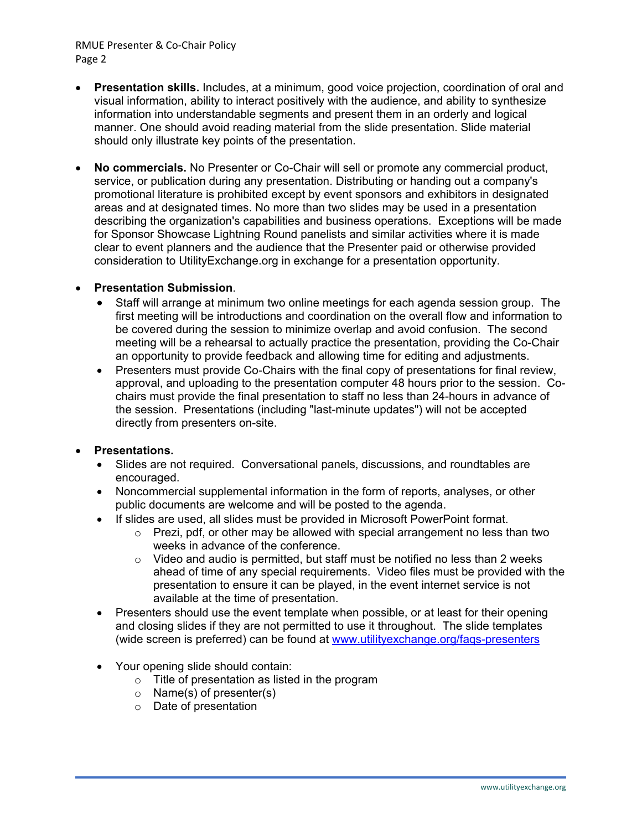### RMUE Presenter & Co‐Chair Policy Page 2

- **Presentation skills.** Includes, at a minimum, good voice projection, coordination of oral and visual information, ability to interact positively with the audience, and ability to synthesize information into understandable segments and present them in an orderly and logical manner. One should avoid reading material from the slide presentation. Slide material should only illustrate key points of the presentation.
- **No commercials.** No Presenter or Co-Chair will sell or promote any commercial product, service, or publication during any presentation. Distributing or handing out a company's promotional literature is prohibited except by event sponsors and exhibitors in designated areas and at designated times. No more than two slides may be used in a presentation describing the organization's capabilities and business operations. Exceptions will be made for Sponsor Showcase Lightning Round panelists and similar activities where it is made clear to event planners and the audience that the Presenter paid or otherwise provided consideration to UtilityExchange.org in exchange for a presentation opportunity.

## **Presentation Submission**.

- Staff will arrange at minimum two online meetings for each agenda session group. The first meeting will be introductions and coordination on the overall flow and information to be covered during the session to minimize overlap and avoid confusion. The second meeting will be a rehearsal to actually practice the presentation, providing the Co-Chair an opportunity to provide feedback and allowing time for editing and adjustments.
- Presenters must provide Co-Chairs with the final copy of presentations for final review, approval, and uploading to the presentation computer 48 hours prior to the session. Cochairs must provide the final presentation to staff no less than 24-hours in advance of the session. Presentations (including "last-minute updates") will not be accepted directly from presenters on-site.

#### **Presentations.**

- Slides are not required. Conversational panels, discussions, and roundtables are encouraged.
- Noncommercial supplemental information in the form of reports, analyses, or other public documents are welcome and will be posted to the agenda.
- If slides are used, all slides must be provided in Microsoft PowerPoint format.
	- $\circ$  Prezi, pdf, or other may be allowed with special arrangement no less than two weeks in advance of the conference.
	- $\circ$  Video and audio is permitted, but staff must be notified no less than 2 weeks ahead of time of any special requirements. Video files must be provided with the presentation to ensure it can be played, in the event internet service is not available at the time of presentation.
- Presenters should use the event template when possible, or at least for their opening and closing slides if they are not permitted to use it throughout. The slide templates (wide screen is preferred) can be found at www.utilityexchange.org/faqs-presenters
- Your opening slide should contain:
	- o Title of presentation as listed in the program
	- $\circ$  Name(s) of presenter(s)
	- o Date of presentation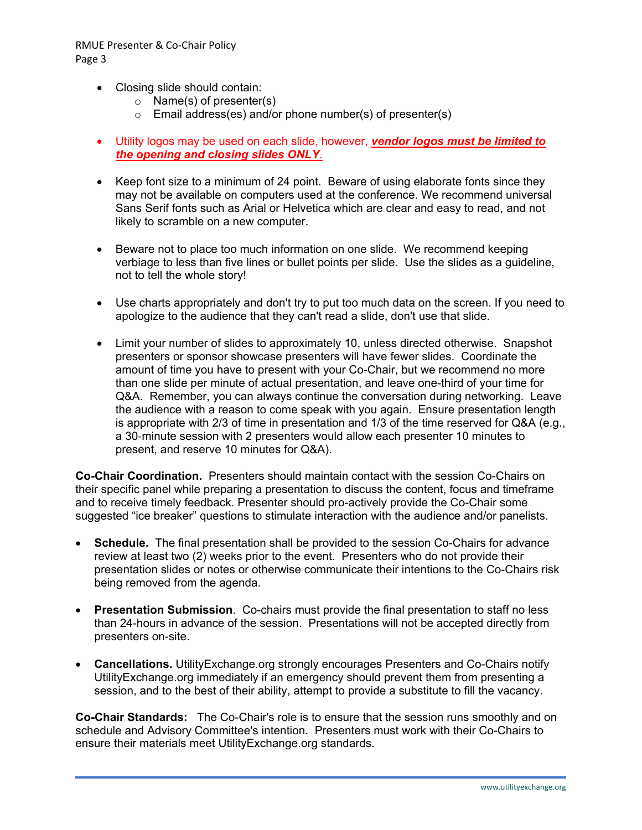- Closing slide should contain:
	- o Name(s) of presenter(s)
	- $\circ$  Email address(es) and/or phone number(s) of presenter(s)
- Utility logos may be used on each slide, however, *vendor logos must be limited to the opening and closing slides ONLY*.
- Keep font size to a minimum of 24 point. Beware of using elaborate fonts since they may not be available on computers used at the conference. We recommend universal Sans Serif fonts such as Arial or Helvetica which are clear and easy to read, and not likely to scramble on a new computer.
- Beware not to place too much information on one slide. We recommend keeping verbiage to less than five lines or bullet points per slide. Use the slides as a guideline, not to tell the whole story!
- Use charts appropriately and don't try to put too much data on the screen. If you need to apologize to the audience that they can't read a slide, don't use that slide.
- Limit your number of slides to approximately 10, unless directed otherwise. Snapshot presenters or sponsor showcase presenters will have fewer slides. Coordinate the amount of time you have to present with your Co-Chair, but we recommend no more than one slide per minute of actual presentation, and leave one-third of your time for Q&A. Remember, you can always continue the conversation during networking. Leave the audience with a reason to come speak with you again. Ensure presentation length is appropriate with 2/3 of time in presentation and 1/3 of the time reserved for Q&A (e.g., a 30-minute session with 2 presenters would allow each presenter 10 minutes to present, and reserve 10 minutes for Q&A).

**Co-Chair Coordination.** Presenters should maintain contact with the session Co-Chairs on their specific panel while preparing a presentation to discuss the content, focus and timeframe and to receive timely feedback. Presenter should pro-actively provide the Co-Chair some suggested "ice breaker" questions to stimulate interaction with the audience and/or panelists.

- **Schedule.** The final presentation shall be provided to the session Co-Chairs for advance review at least two (2) weeks prior to the event. Presenters who do not provide their presentation slides or notes or otherwise communicate their intentions to the Co-Chairs risk being removed from the agenda.
- **Presentation Submission**. Co-chairs must provide the final presentation to staff no less than 24-hours in advance of the session. Presentations will not be accepted directly from presenters on-site.
- **Cancellations.** UtilityExchange.org strongly encourages Presenters and Co-Chairs notify UtilityExchange.org immediately if an emergency should prevent them from presenting a session, and to the best of their ability, attempt to provide a substitute to fill the vacancy.

**Co-Chair Standards:** The Co-Chair's role is to ensure that the session runs smoothly and on schedule and Advisory Committee's intention. Presenters must work with their Co-Chairs to ensure their materials meet UtilityExchange.org standards.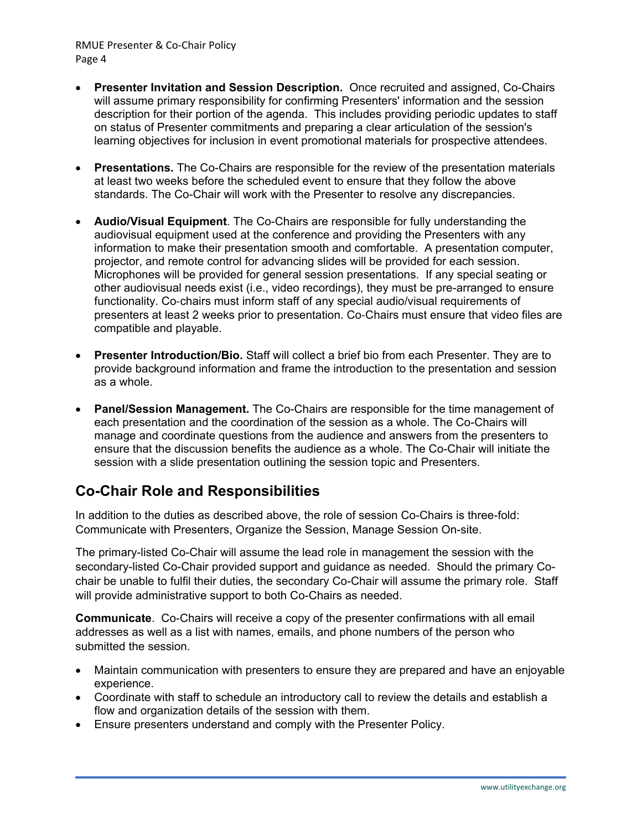RMUE Presenter & Co‐Chair Policy Page 4

- **Presenter Invitation and Session Description.** Once recruited and assigned, Co-Chairs will assume primary responsibility for confirming Presenters' information and the session description for their portion of the agenda. This includes providing periodic updates to staff on status of Presenter commitments and preparing a clear articulation of the session's learning objectives for inclusion in event promotional materials for prospective attendees.
- **Presentations.** The Co-Chairs are responsible for the review of the presentation materials at least two weeks before the scheduled event to ensure that they follow the above standards. The Co-Chair will work with the Presenter to resolve any discrepancies.
- **Audio/Visual Equipment**. The Co-Chairs are responsible for fully understanding the audiovisual equipment used at the conference and providing the Presenters with any information to make their presentation smooth and comfortable. A presentation computer, projector, and remote control for advancing slides will be provided for each session. Microphones will be provided for general session presentations. If any special seating or other audiovisual needs exist (i.e., video recordings), they must be pre-arranged to ensure functionality. Co-chairs must inform staff of any special audio/visual requirements of presenters at least 2 weeks prior to presentation. Co-Chairs must ensure that video files are compatible and playable.
- **Presenter Introduction/Bio.** Staff will collect a brief bio from each Presenter. They are to provide background information and frame the introduction to the presentation and session as a whole.
- **Panel/Session Management.** The Co-Chairs are responsible for the time management of each presentation and the coordination of the session as a whole. The Co-Chairs will manage and coordinate questions from the audience and answers from the presenters to ensure that the discussion benefits the audience as a whole. The Co-Chair will initiate the session with a slide presentation outlining the session topic and Presenters.

# **Co-Chair Role and Responsibilities**

In addition to the duties as described above, the role of session Co-Chairs is three-fold: Communicate with Presenters, Organize the Session, Manage Session On-site.

The primary-listed Co-Chair will assume the lead role in management the session with the secondary-listed Co-Chair provided support and guidance as needed. Should the primary Cochair be unable to fulfil their duties, the secondary Co-Chair will assume the primary role. Staff will provide administrative support to both Co-Chairs as needed.

**Communicate**. Co-Chairs will receive a copy of the presenter confirmations with all email addresses as well as a list with names, emails, and phone numbers of the person who submitted the session.

- Maintain communication with presenters to ensure they are prepared and have an enjoyable experience.
- Coordinate with staff to schedule an introductory call to review the details and establish a flow and organization details of the session with them.
- Ensure presenters understand and comply with the Presenter Policy.